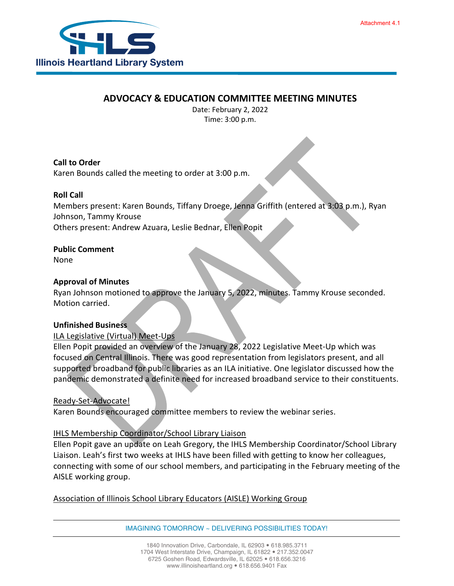

# **ADVOCACY & EDUCATION COMMITTEE MEETING MINUTES**

Date: February 2, 2022 Time: 3:00 p.m.

## **Call to Order**

Karen Bounds called the meeting to order at 3:00 p.m.

## **Roll Call**

Members present: Karen Bounds, Tiffany Droege, Jenna Griffith (entered at 3:03 p.m.), Ryan Johnson, Tammy Krouse Others present: Andrew Azuara, Leslie Bednar, Ellen Popit

#### **Public Comment**

None

#### **Approval of Minutes**

Ryan Johnson motioned to approve the January 5, 2022, minutes. Tammy Krouse seconded. Motion carried.

#### **Unfinished Business**

## ILA Legislative (Virtual) Meet-Ups

Ellen Popit provided an overview of the January 28, 2022 Legislative Meet-Up which was focused on Central Illinois. There was good representation from legislators present, and all supported broadband for public libraries as an ILA initiative. One legislator discussed how the pandemic demonstrated a definite need for increased broadband service to their constituents.

## Ready-Set-Advocate!

Karen Bounds encouraged committee members to review the webinar series.

## IHLS Membership Coordinator/School Library Liaison

Ellen Popit gave an update on Leah Gregory, the IHLS Membership Coordinator/School Library Liaison. Leah's first two weeks at IHLS have been filled with getting to know her colleagues, connecting with some of our school members, and participating in the February meeting of the AISLE working group.

## Association of Illinois School Library Educators (AISLE) Working Group

IMAGINING TOMORROW ~ DELIVERING POSSIBILITIES TODAY!